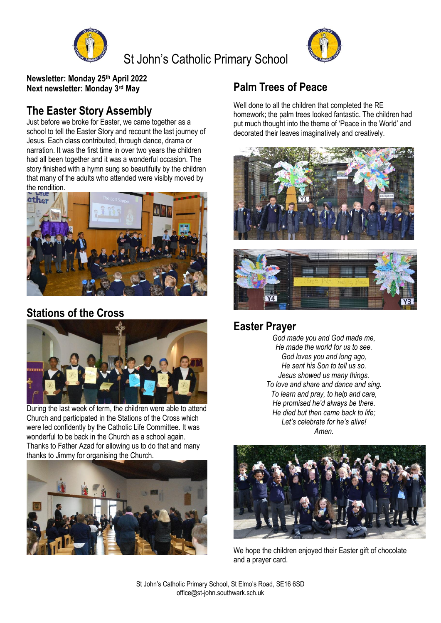

St John's Catholic Primary School



**Newsletter: Monday 25th April 2022 Next newsletter: Monday 3rd May**

### **The Easter Story Assembly**

Just before we broke for Easter, we came together as a school to tell the Easter Story and recount the last journey of Jesus. Each class contributed, through dance, drama or narration. It was the first time in over two years the children had all been together and it was a wonderful occasion. The story finished with a hymn sung so beautifully by the children that many of the adults who attended were visibly moved by the rendition.



### **Stations of the Cross**



During the last week of term, the children were able to attend Church and participated in the Stations of the Cross which were led confidently by the Catholic Life Committee. It was wonderful to be back in the Church as a school again. Thanks to Father Azad for allowing us to do that and many thanks to Jimmy for organising the Church.



## **Palm Trees of Peace**

Well done to all the children that completed the RE homework; the palm trees looked fantastic. The children had put much thought into the theme of 'Peace in the World' and decorated their leaves imaginatively and creatively.





#### **Easter Prayer**

*God made you and God made me, He made the world for us to see. God loves you and long ago, He sent his Son to tell us so. Jesus showed us many things. To love and share and dance and sing. To learn and pray, to help and care, He promised he'd always be there. He died but then came back to life; Let's celebrate for he's alive! Amen.*



We hope the children enjoved their Easter gift of chocolate and a prayer card.